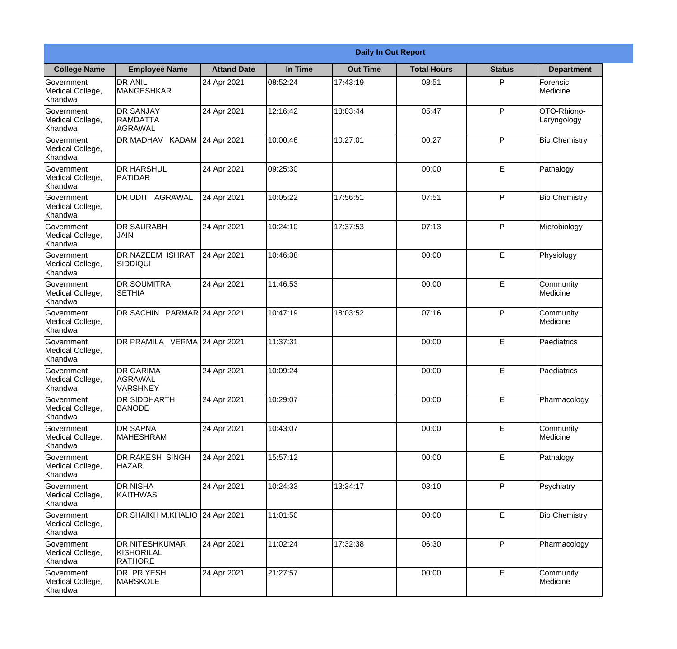|                                                  |                                                | <b>Daily In Out Report</b> |          |                 |                    |               |                            |
|--------------------------------------------------|------------------------------------------------|----------------------------|----------|-----------------|--------------------|---------------|----------------------------|
| <b>College Name</b>                              | <b>Employee Name</b>                           | <b>Attand Date</b>         | In Time  | <b>Out Time</b> | <b>Total Hours</b> | <b>Status</b> | <b>Department</b>          |
| Government<br>Medical College,<br>Khandwa        | <b>DR ANIL</b><br><b>MANGESHKAR</b>            | 24 Apr 2021                | 08:52:24 | 17:43:19        | 08:51              | P             | Forensic<br>Medicine       |
| Government<br>Medical College,<br>Khandwa        | <b>DR SANJAY</b><br><b>RAMDATTA</b><br>AGRAWAL | 24 Apr 2021                | 12:16:42 | 18:03:44        | 05:47              | P             | OTO-Rhiono-<br>Laryngology |
| <b>Government</b><br>Medical College,<br>Khandwa | <b>DR MADHAV</b><br>KADAM                      | 24 Apr 2021                | 10:00:46 | 10:27:01        | 00:27              | P             | <b>Bio Chemistry</b>       |
| <b>Government</b><br>Medical College,<br>Khandwa | <b>DR HARSHUL</b><br>PATIDAR                   | 24 Apr 2021                | 09:25:30 |                 | 00:00              | E             | Pathalogy                  |
| Government<br>Medical College,<br>Khandwa        | <b>DR UDIT AGRAWAL</b>                         | 24 Apr 2021                | 10:05:22 | 17:56:51        | 07:51              | P             | <b>Bio Chemistry</b>       |
| Government<br>Medical College,<br>Khandwa        | <b>IDR SAURABH</b><br><b>JAIN</b>              | 24 Apr 2021                | 10:24:10 | 17:37:53        | 07:13              | P             | Microbiology               |
| <b>Government</b><br>Medical College,<br>Khandwa | <b>DR NAZEEM ISHRAT</b><br> SIDDIQUI           | 24 Apr 2021                | 10:46:38 |                 | 00:00              | E             | Physiology                 |
| <b>Government</b><br>Medical College,<br>Khandwa | <b>DR SOUMITRA</b><br><b>SETHIA</b>            | 24 Apr 2021                | 11:46:53 |                 | 00:00              | E             | Community<br>Medicine      |
| Government<br>Medical College,<br>Khandwa        | DR SACHIN PARMAR 24 Apr 2021                   |                            | 10:47:19 | 18:03:52        | 07:16              | P             | Community<br>Medicine      |
| Government<br>Medical College,<br>Khandwa        | DR PRAMILA VERMA 24 Apr 2021                   |                            | 11:37:31 |                 | 00:00              | $\mathsf E$   | Paediatrics                |
| Government<br>Medical College,<br>Khandwa        | <b>IDR GARIMA</b><br>AGRAWAL<br>VARSHNEY       | 24 Apr 2021                | 10:09:24 |                 | 00:00              | E             | Paediatrics                |
| Government<br>Medical College,<br>Khandwa        | <b>DR SIDDHARTH</b><br><b>BANODE</b>           | 24 Apr 2021                | 10:29:07 |                 | 00:00              | E             | Pharmacology               |
| Government<br>Medical College,<br>Khandwa        | <b>DR SAPNA</b><br><b>MAHESHRAM</b>            | 24 Apr 2021                | 10:43:07 |                 | 00:00              | E             | Community<br>Medicine      |
| Government<br>Medical College,<br>Khandwa        | <b>DR RAKESH SINGH</b><br><b>HAZARI</b>        | 24 Apr 2021                | 15:57:12 |                 | 00:00              | $\mathsf E$   | Pathalogy                  |
| <b>Government</b><br>Medical College,<br>Khandwa | <b>DR NISHA</b><br><b>KAITHWAS</b>             | 24 Apr 2021                | 10:24:33 | 13:34:17        | 03:10              | P             | Psychiatry                 |
| Government<br>Medical College,<br>Khandwa        | DR SHAIKH M.KHALIQ 24 Apr 2021                 |                            | 11:01:50 |                 | 00:00              | E             | <b>Bio Chemistry</b>       |
| Government<br>Medical College,<br>Khandwa        | <b>DR NITESHKUMAR</b><br>KISHORILAL<br>RATHORE | 24 Apr 2021                | 11:02:24 | 17:32:38        | 06:30              | P             | Pharmacology               |
| Government<br>Medical College,<br>Khandwa        | <b>DR PRIYESH</b><br>MARSKOLE                  | 24 Apr 2021                | 21:27:57 |                 | 00:00              | $\mathsf E$   | Community<br>Medicine      |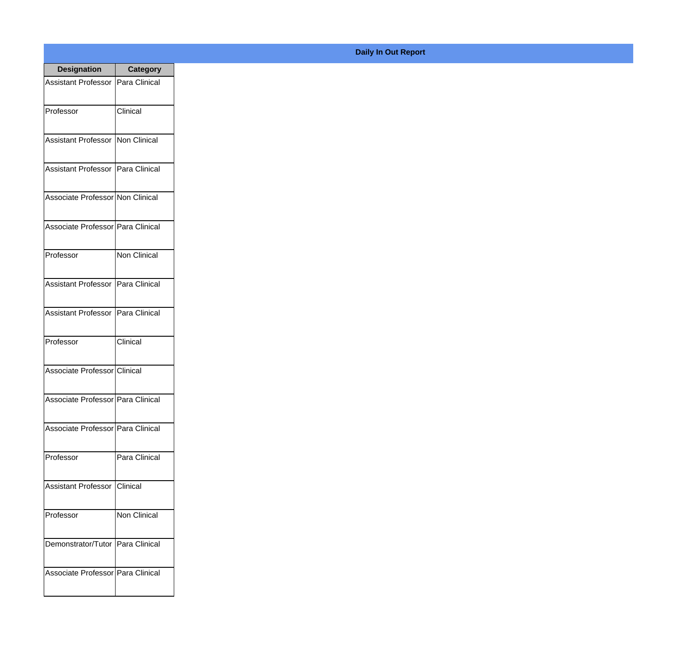| <b>Designation</b>                  | <b>Category</b>     |
|-------------------------------------|---------------------|
| Assistant Professor   Para Clinical |                     |
| Professor                           | Clinical            |
| Assistant Professor   Non Clinical  |                     |
| Assistant Professor   Para Clinical |                     |
| Associate Professor Non Clinical    |                     |
| Associate Professor   Para Clinical |                     |
| Professor                           | <b>Non Clinical</b> |
| Assistant Professor   Para Clinical |                     |
| Assistant Professor   Para Clinical |                     |
| Professor                           | Clinical            |
| Associate Professor Clinical        |                     |
| Associate Professor   Para Clinical |                     |
| Associate Professor   Para Clinical |                     |
| Professor                           | Para Clinical       |
| Assistant Professor                 | Clinical            |
| Professor                           | Non Clinical        |
| Demonstrator/Tutor   Para Clinical  |                     |
| Associate Professor Para Clinical   |                     |

## **Daily In Out Report**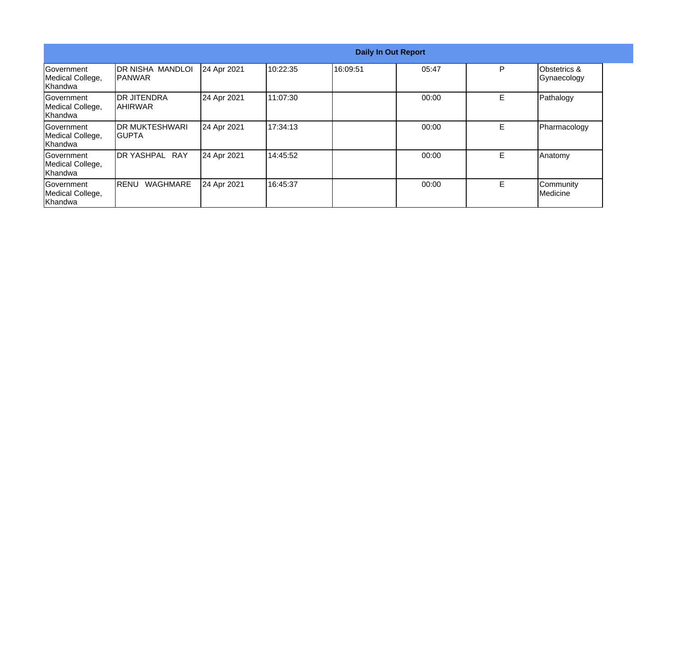|                                                  |                                           |             |          |          | <b>Daily In Out Report</b> |    |                                        |
|--------------------------------------------------|-------------------------------------------|-------------|----------|----------|----------------------------|----|----------------------------------------|
| <b>Government</b><br>Medical College,<br>Khandwa | <b>DR NISHA MANDLOI</b><br><b>IPANWAR</b> | 24 Apr 2021 | 10:22:35 | 16:09:51 | 05:47                      | P  | <b>Obstetrics &amp;</b><br>Gynaecology |
| Government<br>Medical College,<br>Khandwa        | IDR JITENDRA<br>IAHIRWAR                  | 24 Apr 2021 | 11:07:30 |          | 00:00                      | E. | Pathalogy                              |
| <b>Sovernment</b><br>Medical College,<br>Khandwa | <b>IDR MUKTESHWARI</b><br>IGUPTA          | 24 Apr 2021 | 17:34:13 |          | 00:00                      | E. | Pharmacology                           |
| <b>Sovernment</b><br>Medical College,<br>Khandwa | <b>RAY</b><br><b>IDR YASHPAL</b>          | 24 Apr 2021 | 14:45:52 |          | 00:00                      | E. | Anatomy                                |
| Government<br>Medical College,<br>Khandwa        | <b>WAGHMARE</b><br><b>IRENU</b>           | 24 Apr 2021 | 16:45:37 |          | 00:00                      | E. | Community<br>Medicine                  |